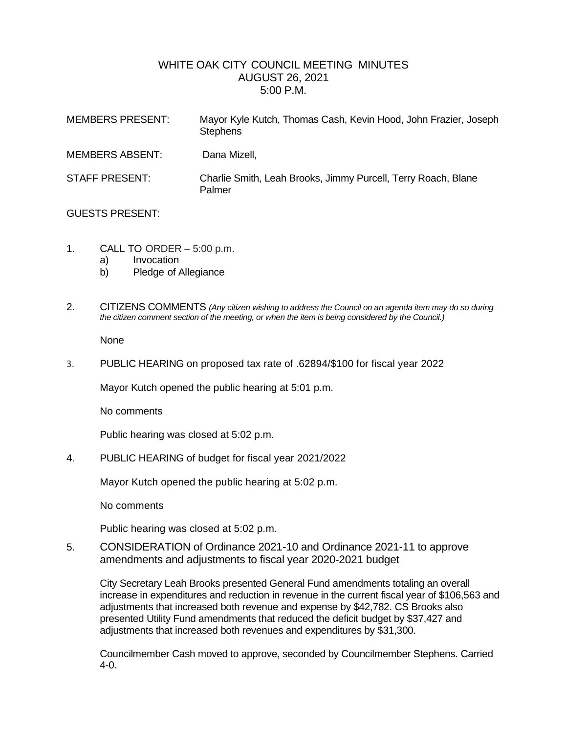## WHITE OAK CITY COUNCIL MEETING MINUTES AUGUST 26, 2021 5:00 P.M.

| <b>MEMBERS PRESENT:</b> | Mayor Kyle Kutch, Thomas Cash, Kevin Hood, John Frazier, Joseph<br><b>Stephens</b> |
|-------------------------|------------------------------------------------------------------------------------|
| <b>MEMBERS ABSENT:</b>  | Dana Mizell,                                                                       |
| <b>STAFF PRESENT:</b>   | Charlie Smith, Leah Brooks, Jimmy Purcell, Terry Roach, Blane<br>Palmer            |

## GUESTS PRESENT:

- 1. CALL TO ORDER 5:00 p.m.
	- a) Invocation
	- b) Pledge of Allegiance
- 2. CITIZENS COMMENTS *(Any citizen wishing to address the Council on an agenda item may do so during the citizen comment section of the meeting, or when the item is being considered by the Council.)*

None

3. PUBLIC HEARING on proposed tax rate of .62894/\$100 for fiscal year 2022

Mayor Kutch opened the public hearing at 5:01 p.m.

No comments

Public hearing was closed at 5:02 p.m.

4. PUBLIC HEARING of budget for fiscal year 2021/2022

Mayor Kutch opened the public hearing at 5:02 p.m.

No comments

Public hearing was closed at 5:02 p.m.

5. CONSIDERATION of Ordinance 2021-10 and Ordinance 2021-11 to approve amendments and adjustments to fiscal year 2020-2021 budget

City Secretary Leah Brooks presented General Fund amendments totaling an overall increase in expenditures and reduction in revenue in the current fiscal year of \$106,563 and adjustments that increased both revenue and expense by \$42,782. CS Brooks also presented Utility Fund amendments that reduced the deficit budget by \$37,427 and adjustments that increased both revenues and expenditures by \$31,300.

Councilmember Cash moved to approve, seconded by Councilmember Stephens. Carried 4-0.